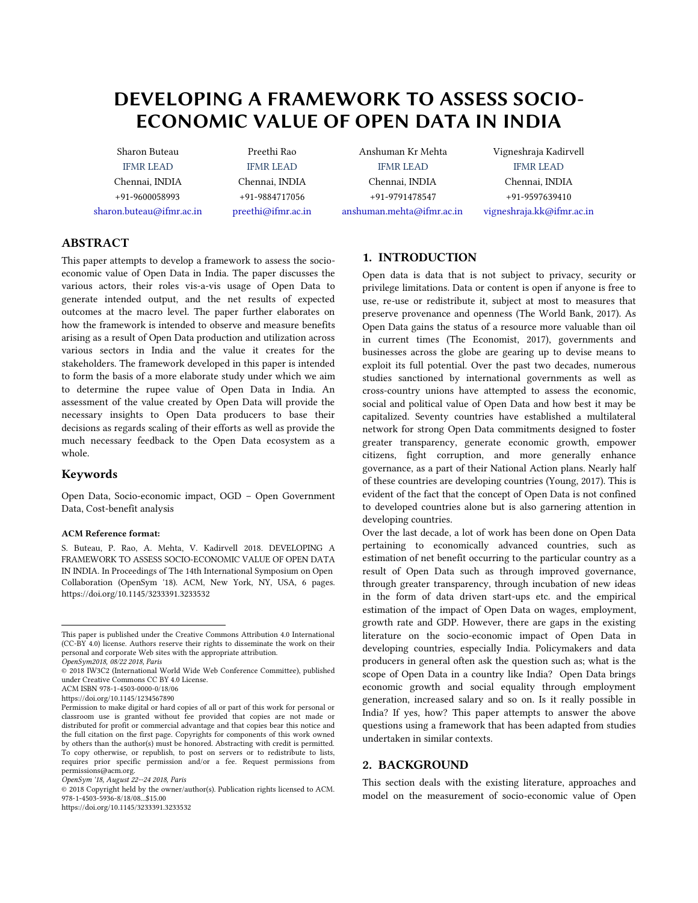# **DEVELOPING A FRAMEWORK TO ASSESS SOCIO-ECONOMIC VALUE OF OPEN DATA IN INDIA**

Sharon Buteau Preethi Rao Anshuman Kr Mehta Vigneshraja Kadirvell IFMR LEAD IFMR LEAD IFMR LEAD IFMR LEAD Chennai, INDIA Chennai, INDIA Chennai, INDIA Chennai, INDIA +91-9600058993 +91-9884717056 +91-9791478547 +91-9597639410 sharon.buteau@ifmr.ac.in preethi@ifmr.ac.in anshuman.mehta@ifmr.ac.in vigneshraja.kk@ifmr.ac.in

## **ABSTRACT**

This paper attempts to develop a framework to assess the socioeconomic value of Open Data in India. The paper discusses the various actors, their roles vis-a-vis usage of Open Data to generate intended output, and the net results of expected outcomes at the macro level. The paper further elaborates on how the framework is intended to observe and measure benefits arising as a result of Open Data production and utilization across various sectors in India and the value it creates for the stakeholders. The framework developed in this paper is intended to form the basis of a more elaborate study under which we aim to determine the rupee value of Open Data in India. An assessment of the value created by Open Data will provide the necessary insights to Open Data producers to base their decisions as regards scaling of their efforts as well as provide the much necessary feedback to the Open Data ecosystem as a whole.

#### **Keywords**

 $\overline{a}$ 

Open Data, Socio-economic impact, OGD – Open Government Data, Cost-benefit analysis

#### **ACM Reference format:**

S. Buteau, P. Rao, A. Mehta, V. Kadirvell 2018. DEVELOPING A FRAMEWORK TO ASSESS SOCIO-ECONOMIC VALUE OF OPEN DATA IN INDIA. In Proceedings of The 14th International Symposium on Open Collaboration (OpenSym '18). ACM, New York, NY, USA, 6 pages. https://doi.org/10.1145/3233391.3233532

https://doi.org/10.1145/3233391.3233532

## **1. INTRODUCTION**

Open data is data that is not subject to privacy, security or privilege limitations. Data or content is open if anyone is free to use, re-use or redistribute it, subject at most to measures that preserve provenance and openness (The World Bank, 2017). As Open Data gains the status of a resource more valuable than oil in current times (The Economist, 2017), governments and businesses across the globe are gearing up to devise means to exploit its full potential. Over the past two decades, numerous studies sanctioned by international governments as well as cross-country unions have attempted to assess the economic, social and political value of Open Data and how best it may be capitalized. Seventy countries have established a multilateral network for strong Open Data commitments designed to foster greater transparency, generate economic growth, empower citizens, fight corruption, and more generally enhance governance, as a part of their National Action plans. Nearly half of these countries are developing countries (Young, 2017). This is evident of the fact that the concept of Open Data is not confined to developed countries alone but is also garnering attention in developing countries.

Over the last decade, a lot of work has been done on Open Data pertaining to economically advanced countries, such as estimation of net benefit occurring to the particular country as a result of Open Data such as through improved governance, through greater transparency, through incubation of new ideas in the form of data driven start-ups etc. and the empirical estimation of the impact of Open Data on wages, employment, growth rate and GDP. However, there are gaps in the existing literature on the socio-economic impact of Open Data in developing countries, especially India. Policymakers and data producers in general often ask the question such as; what is the scope of Open Data in a country like India? Open Data brings economic growth and social equality through employment generation, increased salary and so on. Is it really possible in India? If yes, how? This paper attempts to answer the above questions using a framework that has been adapted from studies undertaken in similar contexts.

#### **2. BACKGROUND**

This section deals with the existing literature, approaches and model on the measurement of socio-economic value of Open

This paper is published under the Creative Commons Attribution 4.0 International (CC-BY 4.0) license. Authors reserve their rights to disseminate the work on their personal and corporate Web sites with the appropriate attribution. *OpenSym2018, 08/22 2018, Paris*

<sup>© 2018</sup> IW3C2 (International World Wide Web Conference Committee), published

under Creative Commons CC BY 4.0 License.

ACM ISBN 978-1-4503-0000-0/18/06

https://doi.org/10.1145/1234567890

Permission to make digital or hard copies of all or part of this work for personal or classroom use is granted without fee provided that copies are not made or distributed for profit or commercial advantage and that copies bear this notice and the full citation on the first page. Copyrights for components of this work owned by others than the author(s) must be honored. Abstracting with credit is permitted. To copy otherwise, or republish, to post on servers or to redistribute to lists, requires prior specific permission and/or a fee. Request permissions from permissions@acm.org. *OpenSym '18, August 22--24 2018, Paris*

<sup>© 2018</sup> Copyright held by the owner/author(s). Publication rights licensed to ACM. 978-1-4503-5936-8/18/08...\$15.00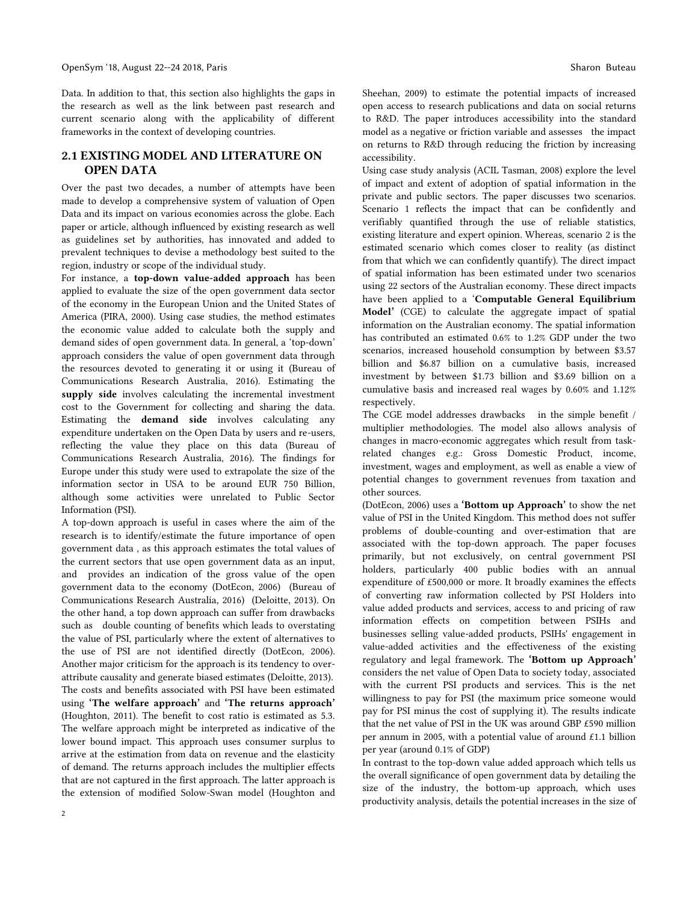Data. In addition to that, this section also highlights the gaps in the research as well as the link between past research and current scenario along with the applicability of different frameworks in the context of developing countries.

### **2.1 EXISTING MODEL AND LITERATURE ON OPEN DATA**

Over the past two decades, a number of attempts have been made to develop a comprehensive system of valuation of Open Data and its impact on various economies across the globe. Each paper or article, although influenced by existing research as well as guidelines set by authorities, has innovated and added to prevalent techniques to devise a methodology best suited to the region, industry or scope of the individual study.

For instance, a **top-down value-added approach** has been applied to evaluate the size of the open government data sector of the economy in the European Union and the United States of America (PIRA, 2000). Using case studies, the method estimates the economic value added to calculate both the supply and demand sides of open government data. In general, a 'top-down' approach considers the value of open government data through the resources devoted to generating it or using it (Bureau of Communications Research Australia, 2016). Estimating the **supply side** involves calculating the incremental investment cost to the Government for collecting and sharing the data. Estimating the **demand side** involves calculating any expenditure undertaken on the Open Data by users and re-users, reflecting the value they place on this data (Bureau of Communications Research Australia, 2016). The findings for Europe under this study were used to extrapolate the size of the information sector in USA to be around EUR 750 Billion, although some activities were unrelated to Public Sector Information (PSI).

A top-down approach is useful in cases where the aim of the research is to identify/estimate the future importance of open government data , as this approach estimates the total values of the current sectors that use open government data as an input, and provides an indication of the gross value of the open government data to the economy (DotEcon, 2006) (Bureau of Communications Research Australia, 2016) (Deloitte, 2013). On the other hand, a top down approach can suffer from drawbacks such as double counting of benefits which leads to overstating the value of PSI, particularly where the extent of alternatives to the use of PSI are not identified directly (DotEcon, 2006). Another major criticism for the approach is its tendency to overattribute causality and generate biased estimates (Deloitte, 2013). The costs and benefits associated with PSI have been estimated using **'The welfare approach'** and **'The returns approach'**  (Houghton, 2011). The benefit to cost ratio is estimated as 5.3. The welfare approach might be interpreted as indicative of the lower bound impact. This approach uses consumer surplus to arrive at the estimation from data on revenue and the elasticity of demand. The returns approach includes the multiplier effects that are not captured in the first approach. The latter approach is the extension of modified Solow-Swan model (Houghton and Sheehan, 2009) to estimate the potential impacts of increased open access to research publications and data on social returns to R&D. The paper introduces accessibility into the standard model as a negative or friction variable and assesses the impact on returns to R&D through reducing the friction by increasing accessibility.

Using case study analysis (ACIL Tasman, 2008) explore the level of impact and extent of adoption of spatial information in the private and public sectors. The paper discusses two scenarios. Scenario 1 reflects the impact that can be confidently and verifiably quantified through the use of reliable statistics, existing literature and expert opinion. Whereas, scenario 2 is the estimated scenario which comes closer to reality (as distinct from that which we can confidently quantify). The direct impact of spatial information has been estimated under two scenarios using 22 sectors of the Australian economy. These direct impacts have been applied to a '**Computable General Equilibrium Model'** (CGE) to calculate the aggregate impact of spatial information on the Australian economy. The spatial information has contributed an estimated 0.6% to 1.2% GDP under the two scenarios, increased household consumption by between \$3.57 billion and \$6.87 billion on a cumulative basis, increased investment by between \$1.73 billion and \$3.69 billion on a cumulative basis and increased real wages by 0.60% and 1.12% respectively.

The CGE model addresses drawbacks in the simple benefit / multiplier methodologies. The model also allows analysis of changes in macro-economic aggregates which result from taskrelated changes e.g.: Gross Domestic Product, income, investment, wages and employment, as well as enable a view of potential changes to government revenues from taxation and other sources.

(DotEcon, 2006) uses a **'Bottom up Approach'** to show the net value of PSI in the United Kingdom. This method does not suffer problems of double-counting and over-estimation that are associated with the top-down approach. The paper focuses primarily, but not exclusively, on central government PSI holders, particularly 400 public bodies with an annual expenditure of £500,000 or more. It broadly examines the effects of converting raw information collected by PSI Holders into value added products and services, access to and pricing of raw information effects on competition between PSIHs and businesses selling value-added products, PSIHs' engagement in value-added activities and the effectiveness of the existing regulatory and legal framework. The **'Bottom up Approach'** considers the net value of Open Data to society today, associated with the current PSI products and services. This is the net willingness to pay for PSI (the maximum price someone would pay for PSI minus the cost of supplying it). The results indicate that the net value of PSI in the UK was around GBP £590 million per annum in 2005, with a potential value of around  $£1.1$  billion per year (around 0.1% of GDP)

In contrast to the top-down value added approach which tells us the overall significance of open government data by detailing the size of the industry, the bottom-up approach, which uses productivity analysis, details the potential increases in the size of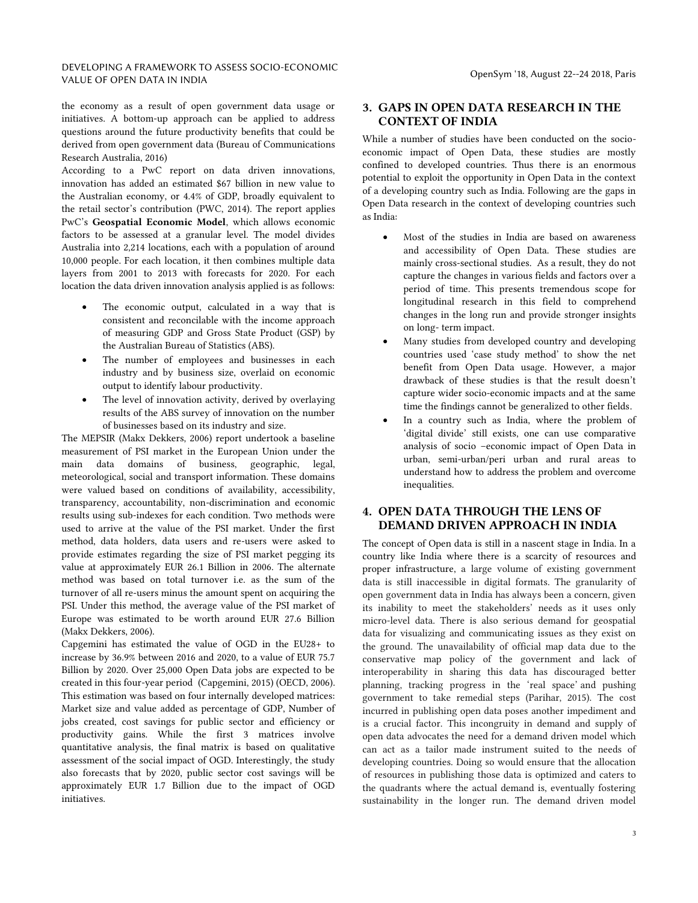#### DEVELOPING A FRAMEWORK TO ASSESS SOCIO-ECONOMIC DEVELOFING A FRAMEWORK TO ASSESS SOCIO-LOONOMIC<br>VALUE OF OPEN DATA IN INDIA OpenSym '18, August 22--24 2018, Paris

the economy as a result of open government data usage or initiatives. A bottom-up approach can be applied to address questions around the future productivity benefits that could be derived from open government data (Bureau of Communications Research Australia, 2016)

According to a PwC report on data driven innovations, innovation has added an estimated \$67 billion in new value to the Australian economy, or 4.4% of GDP, broadly equivalent to the retail sector's contribution (PWC, 2014). The report applies PwC's **Geospatial Economic Model**, which allows economic factors to be assessed at a granular level. The model divides Australia into 2,214 locations, each with a population of around 10,000 people. For each location, it then combines multiple data layers from 2001 to 2013 with forecasts for 2020. For each location the data driven innovation analysis applied is as follows:

- The economic output, calculated in a way that is consistent and reconcilable with the income approach of measuring GDP and Gross State Product (GSP) by the Australian Bureau of Statistics (ABS).
- The number of employees and businesses in each industry and by business size, overlaid on economic output to identify labour productivity.
- The level of innovation activity, derived by overlaying results of the ABS survey of innovation on the number of businesses based on its industry and size.

The MEPSIR (Makx Dekkers, 2006) report undertook a baseline measurement of PSI market in the European Union under the main data domains of business, geographic, legal, meteorological, social and transport information. These domains were valued based on conditions of availability, accessibility, transparency, accountability, non-discrimination and economic results using sub-indexes for each condition. Two methods were used to arrive at the value of the PSI market. Under the first method, data holders, data users and re-users were asked to provide estimates regarding the size of PSI market pegging its value at approximately EUR 26.1 Billion in 2006. The alternate method was based on total turnover i.e. as the sum of the turnover of all re-users minus the amount spent on acquiring the PSI. Under this method, the average value of the PSI market of Europe was estimated to be worth around EUR 27.6 Billion (Makx Dekkers, 2006).

Capgemini has estimated the value of OGD in the EU28+ to increase by 36.9% between 2016 and 2020, to a value of EUR 75.7 Billion by 2020. Over 25,000 Open Data jobs are expected to be created in this four-year period (Capgemini, 2015) (OECD, 2006). This estimation was based on four internally developed matrices: Market size and value added as percentage of GDP, Number of jobs created, cost savings for public sector and efficiency or productivity gains. While the first 3 matrices involve quantitative analysis, the final matrix is based on qualitative assessment of the social impact of OGD. Interestingly, the study also forecasts that by 2020, public sector cost savings will be approximately EUR 1.7 Billion due to the impact of OGD initiatives.

## **3. GAPS IN OPEN DATA RESEARCH IN THE CONTEXT OF INDIA**

While a number of studies have been conducted on the socioeconomic impact of Open Data, these studies are mostly confined to developed countries. Thus there is an enormous potential to exploit the opportunity in Open Data in the context of a developing country such as India. Following are the gaps in Open Data research in the context of developing countries such as India:

- Most of the studies in India are based on awareness and accessibility of Open Data. These studies are mainly cross-sectional studies. As a result, they do not capture the changes in various fields and factors over a period of time. This presents tremendous scope for longitudinal research in this field to comprehend changes in the long run and provide stronger insights on long- term impact.
- Many studies from developed country and developing countries used 'case study method' to show the net benefit from Open Data usage. However, a major drawback of these studies is that the result doesn't capture wider socio-economic impacts and at the same time the findings cannot be generalized to other fields.
- In a country such as India, where the problem of 'digital divide' still exists, one can use comparative analysis of socio –economic impact of Open Data in urban, semi-urban/peri urban and rural areas to understand how to address the problem and overcome inequalities.

#### **4. OPEN DATA THROUGH THE LENS OF DEMAND DRIVEN APPROACH IN INDIA**

The concept of Open data is still in a nascent stage in India. In a country like India where there is a scarcity of resources and proper infrastructure, a large volume of existing government data is still inaccessible in digital formats. The granularity of open government data in India has always been a concern, given its inability to meet the stakeholders' needs as it uses only micro-level data. There is also serious demand for geospatial data for visualizing and communicating issues as they exist on the ground. The unavailability of official map data due to the conservative map policy of the government and lack of interoperability in sharing this data has discouraged better planning, tracking progress in the 'real space' and pushing government to take remedial steps (Parihar, 2015). The cost incurred in publishing open data poses another impediment and is a crucial factor. This incongruity in demand and supply of open data advocates the need for a demand driven model which can act as a tailor made instrument suited to the needs of developing countries. Doing so would ensure that the allocation of resources in publishing those data is optimized and caters to the quadrants where the actual demand is, eventually fostering sustainability in the longer run. The demand driven model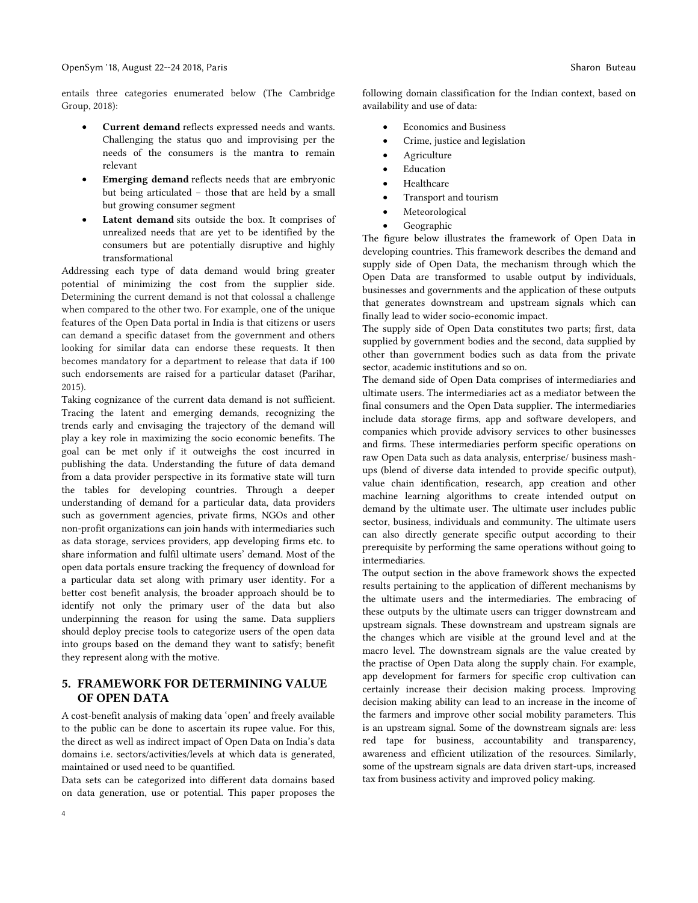entails three categories enumerated below (The Cambridge Group, 2018):

- **Current demand** reflects expressed needs and wants. Challenging the status quo and improvising per the needs of the consumers is the mantra to remain relevant
- **Emerging demand** reflects needs that are embryonic but being articulated – those that are held by a small but growing consumer segment
- **Latent demand** sits outside the box. It comprises of unrealized needs that are yet to be identified by the consumers but are potentially disruptive and highly transformational

Addressing each type of data demand would bring greater potential of minimizing the cost from the supplier side. Determining the current demand is not that colossal a challenge when compared to the other two. For example, one of the unique features of the Open Data portal in India is that citizens or users can demand a specific dataset from the government and others looking for similar data can endorse these requests. It then becomes mandatory for a department to release that data if 100 such endorsements are raised for a particular dataset (Parihar, 2015).

Taking cognizance of the current data demand is not sufficient. Tracing the latent and emerging demands, recognizing the trends early and envisaging the trajectory of the demand will play a key role in maximizing the socio economic benefits. The goal can be met only if it outweighs the cost incurred in publishing the data. Understanding the future of data demand from a data provider perspective in its formative state will turn the tables for developing countries. Through a deeper understanding of demand for a particular data, data providers such as government agencies, private firms, NGOs and other non-profit organizations can join hands with intermediaries such as data storage, services providers, app developing firms etc. to share information and fulfil ultimate users' demand. Most of the open data portals ensure tracking the frequency of download for a particular data set along with primary user identity. For a better cost benefit analysis, the broader approach should be to identify not only the primary user of the data but also underpinning the reason for using the same. Data suppliers should deploy precise tools to categorize users of the open data into groups based on the demand they want to satisfy; benefit they represent along with the motive.

### **5. FRAMEWORK FOR DETERMINING VALUE OF OPEN DATA**

A cost-benefit analysis of making data 'open' and freely available to the public can be done to ascertain its rupee value. For this, the direct as well as indirect impact of Open Data on India's data domains i.e. sectors/activities/levels at which data is generated, maintained or used need to be quantified.

Data sets can be categorized into different data domains based on data generation, use or potential. This paper proposes the following domain classification for the Indian context, based on availability and use of data:

- Economics and Business
- Crime, justice and legislation
- Agriculture
- Education
- Healthcare
- Transport and tourism
- Meteorological
- Geographic

The figure below illustrates the framework of Open Data in developing countries. This framework describes the demand and supply side of Open Data, the mechanism through which the Open Data are transformed to usable output by individuals, businesses and governments and the application of these outputs that generates downstream and upstream signals which can finally lead to wider socio-economic impact.

The supply side of Open Data constitutes two parts; first, data supplied by government bodies and the second, data supplied by other than government bodies such as data from the private sector, academic institutions and so on.

The demand side of Open Data comprises of intermediaries and ultimate users. The intermediaries act as a mediator between the final consumers and the Open Data supplier. The intermediaries include data storage firms, app and software developers, and companies which provide advisory services to other businesses and firms. These intermediaries perform specific operations on raw Open Data such as data analysis, enterprise/ business mashups (blend of diverse data intended to provide specific output), value chain identification, research, app creation and other machine learning algorithms to create intended output on demand by the ultimate user. The ultimate user includes public sector, business, individuals and community. The ultimate users can also directly generate specific output according to their prerequisite by performing the same operations without going to intermediaries.

The output section in the above framework shows the expected results pertaining to the application of different mechanisms by the ultimate users and the intermediaries. The embracing of these outputs by the ultimate users can trigger downstream and upstream signals. These downstream and upstream signals are the changes which are visible at the ground level and at the macro level. The downstream signals are the value created by the practise of Open Data along the supply chain. For example, app development for farmers for specific crop cultivation can certainly increase their decision making process. Improving decision making ability can lead to an increase in the income of the farmers and improve other social mobility parameters. This is an upstream signal. Some of the downstream signals are: less red tape for business, accountability and transparency, awareness and efficient utilization of the resources. Similarly, some of the upstream signals are data driven start-ups, increased tax from business activity and improved policy making.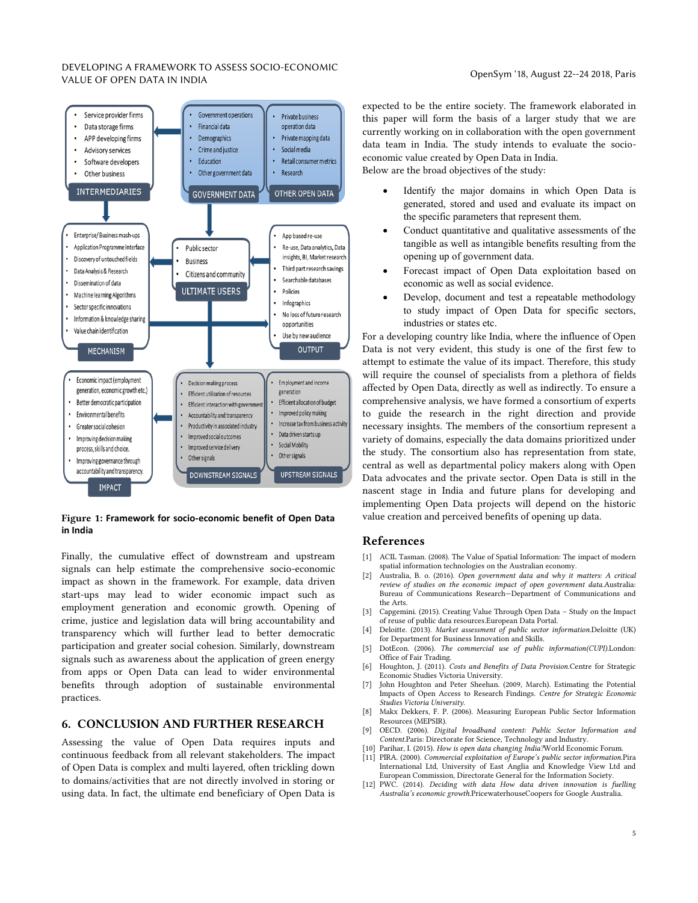#### DEVELOPING A FRAMEWORK TO ASSESS SOCIO-ECONOMIC DEVELOTING AT INMILIWORK TO ASSESS SOCIO ECONOMIC<br>VALUE OF OPEN DATA IN INDIA OpenSym '18, August 22--24 2018, Paris



**Figure 1: Framework for socio-economic benefit of Open Data in India**

Finally, the cumulative effect of downstream and upstream signals can help estimate the comprehensive socio-economic impact as shown in the framework. For example, data driven start-ups may lead to wider economic impact such as employment generation and economic growth. Opening of crime, justice and legislation data will bring accountability and transparency which will further lead to better democratic participation and greater social cohesion. Similarly, downstream signals such as awareness about the application of green energy from apps or Open Data can lead to wider environmental benefits through adoption of sustainable environmental practices.

#### **6. CONCLUSION AND FURTHER RESEARCH**

Assessing the value of Open Data requires inputs and continuous feedback from all relevant stakeholders. The impact of Open Data is complex and multi layered, often trickling down to domains/activities that are not directly involved in storing or using data. In fact, the ultimate end beneficiary of Open Data is expected to be the entire society. The framework elaborated in this paper will form the basis of a larger study that we are currently working on in collaboration with the open government data team in India. The study intends to evaluate the socioeconomic value created by Open Data in India. Below are the broad objectives of the study:

 Identify the major domains in which Open Data is generated, stored and used and evaluate its impact on the specific parameters that represent them.

- Conduct quantitative and qualitative assessments of the tangible as well as intangible benefits resulting from the opening up of government data.
- Forecast impact of Open Data exploitation based on economic as well as social evidence.
- Develop, document and test a repeatable methodology to study impact of Open Data for specific sectors, industries or states etc.

For a developing country like India, where the influence of Open Data is not very evident, this study is one of the first few to attempt to estimate the value of its impact. Therefore, this study will require the counsel of specialists from a plethora of fields affected by Open Data, directly as well as indirectly. To ensure a comprehensive analysis, we have formed a consortium of experts to guide the research in the right direction and provide necessary insights. The members of the consortium represent a variety of domains, especially the data domains prioritized under the study. The consortium also has representation from state, central as well as departmental policy makers along with Open Data advocates and the private sector. Open Data is still in the nascent stage in India and future plans for developing and implementing Open Data projects will depend on the historic value creation and perceived benefits of opening up data.

#### **References**

- [1] ACIL Tasman. (2008). The Value of Spatial Information: The impact of modern spatial information technologies on the Australian economy.
- [2] Australia, B. o. (2016). *Open government data and why it matters: A critical review of studies on the economic impact of open government data.*Australia: Bureau of Communications Research—Department of Communications and the Arts.
- [3] Capgemini. (2015). Creating Value Through Open Data Study on the Impact of reuse of public data resources.European Data Portal.
- [4] Deloitte. (2013). *Market assessment of public sector information.*Deloitte (UK) for Department for Business Innovation and Skills.
- [5] DotEcon. (2006). *The commercial use of public information(CUPI).*London: Office of Fair Trading.
- [6] Houghton, J. (2011). *Costs and Benefits of Data Provision.*Centre for Strategic Economic Studies Victoria University.
- [7] John Houghton and Peter Sheehan. (2009, March). Estimating the Potential Impacts of Open Access to Research Findings. *Centre for Strategic Economic Studies Victoria University*.
- [8] Makx Dekkers, F. P. (2006). Measuring European Public Sector Information Resources (MEPSIR).
- [9] OECD. (2006). *Digital broadband content: Public Sector Information and Content.*Paris: Directorate for Science, Technology and Industry.
- [10] Parihar, I. (2015). *How is open data changing India?*World Economic Forum.
- [11] PIRA. (2000). *Commercial exploitation of Europe's public sector information.*Pira International Ltd, University of East Anglia and Knowledge View Ltd and European Commission, Directorate General for the Information Society.
- [12] PWC. (2014). *Deciding with data How data driven innovation is fuelling Australia's economic growth.*PricewaterhouseCoopers for Google Australia.